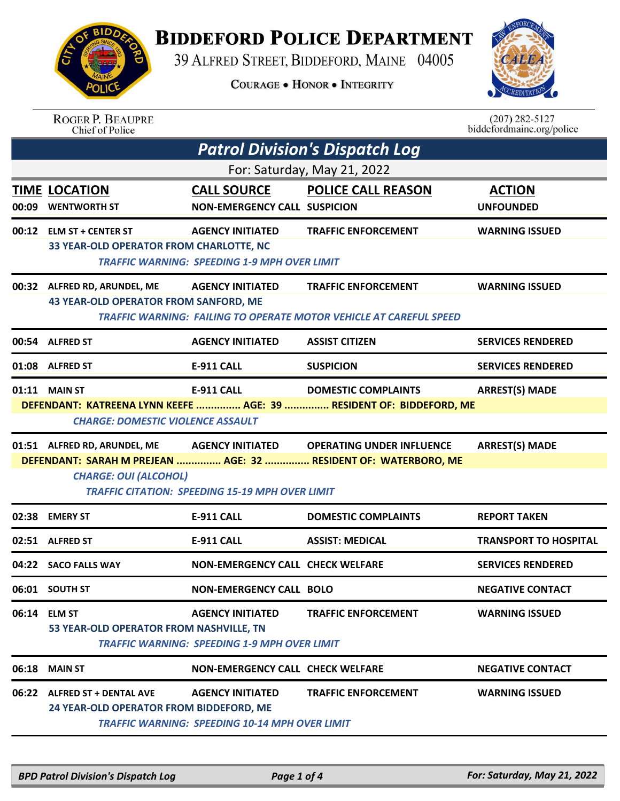

## **BIDDEFORD POLICE DEPARTMENT**

39 ALFRED STREET, BIDDEFORD, MAINE 04005

**COURAGE . HONOR . INTEGRITY** 



| <b>ROGER P. BEAUPRE</b> |
|-------------------------|
| Chief of Police         |

 $(207)$  282-5127 biddefordmaine.org/police

|       | <b>Patrol Division's Dispatch Log</b>                                        |                                                                                  |                                                                                                               |                                   |  |  |  |
|-------|------------------------------------------------------------------------------|----------------------------------------------------------------------------------|---------------------------------------------------------------------------------------------------------------|-----------------------------------|--|--|--|
|       | For: Saturday, May 21, 2022                                                  |                                                                                  |                                                                                                               |                                   |  |  |  |
| 00:09 | <b>TIME LOCATION</b><br><b>WENTWORTH ST</b>                                  | <b>CALL SOURCE</b><br><b>NON-EMERGENCY CALL SUSPICION</b>                        | <b>POLICE CALL REASON</b>                                                                                     | <b>ACTION</b><br><b>UNFOUNDED</b> |  |  |  |
|       | 00:12 ELM ST + CENTER ST<br>33 YEAR-OLD OPERATOR FROM CHARLOTTE, NC          | <b>AGENCY INITIATED</b><br><b>TRAFFIC WARNING: SPEEDING 1-9 MPH OVER LIMIT</b>   | <b>TRAFFIC ENFORCEMENT</b>                                                                                    | <b>WARNING ISSUED</b>             |  |  |  |
|       | 00:32 ALFRED RD, ARUNDEL, ME<br><b>43 YEAR-OLD OPERATOR FROM SANFORD, ME</b> | <b>AGENCY INITIATED</b>                                                          | <b>TRAFFIC ENFORCEMENT</b><br><b>TRAFFIC WARNING: FAILING TO OPERATE MOTOR VEHICLE AT CAREFUL SPEED</b>       | <b>WARNING ISSUED</b>             |  |  |  |
|       | 00:54 ALFRED ST                                                              | <b>AGENCY INITIATED</b>                                                          | <b>ASSIST CITIZEN</b>                                                                                         | <b>SERVICES RENDERED</b>          |  |  |  |
|       | 01:08 ALFRED ST                                                              | <b>E-911 CALL</b>                                                                | <b>SUSPICION</b>                                                                                              | <b>SERVICES RENDERED</b>          |  |  |  |
|       | 01:11 MAIN ST<br><b>CHARGE: DOMESTIC VIOLENCE ASSAULT</b>                    | E-911 CALL                                                                       | <b>DOMESTIC COMPLAINTS</b><br>DEFENDANT: KATREENA LYNN KEEFE  AGE: 39  RESIDENT OF: BIDDEFORD, ME             | <b>ARREST(S) MADE</b>             |  |  |  |
|       | 01:51 ALFRED RD, ARUNDEL, ME<br><b>CHARGE: OUI (ALCOHOL)</b>                 | <b>TRAFFIC CITATION: SPEEDING 15-19 MPH OVER LIMIT</b>                           | AGENCY INITIATED OPERATING UNDER INFLUENCE<br>DEFENDANT: SARAH M PREJEAN  AGE: 32  RESIDENT OF: WATERBORO, ME | <b>ARREST(S) MADE</b>             |  |  |  |
| 02:38 | <b>EMERY ST</b>                                                              | <b>E-911 CALL</b>                                                                | <b>DOMESTIC COMPLAINTS</b>                                                                                    | <b>REPORT TAKEN</b>               |  |  |  |
|       | 02:51 ALFRED ST                                                              | <b>E-911 CALL</b>                                                                | <b>ASSIST: MEDICAL</b>                                                                                        | <b>TRANSPORT TO HOSPITAL</b>      |  |  |  |
|       | 04:22 SACO FALLS WAY                                                         | <b>NON-EMERGENCY CALL CHECK WELFARE</b>                                          |                                                                                                               | <b>SERVICES RENDERED</b>          |  |  |  |
|       | 06:01 SOUTH ST                                                               | <b>NON-EMERGENCY CALL BOLO</b>                                                   |                                                                                                               | <b>NEGATIVE CONTACT</b>           |  |  |  |
|       | 06:14 ELM ST<br>53 YEAR-OLD OPERATOR FROM NASHVILLE, TN                      | <b>AGENCY INITIATED</b><br><b>TRAFFIC WARNING: SPEEDING 1-9 MPH OVER LIMIT</b>   | <b>TRAFFIC ENFORCEMENT</b>                                                                                    | <b>WARNING ISSUED</b>             |  |  |  |
| 06:18 | <b>MAIN ST</b>                                                               | <b>NON-EMERGENCY CALL CHECK WELFARE</b>                                          |                                                                                                               | <b>NEGATIVE CONTACT</b>           |  |  |  |
|       | 06:22 ALFRED ST + DENTAL AVE<br>24 YEAR-OLD OPERATOR FROM BIDDEFORD, ME      | <b>AGENCY INITIATED</b><br><b>TRAFFIC WARNING: SPEEDING 10-14 MPH OVER LIMIT</b> | <b>TRAFFIC ENFORCEMENT</b>                                                                                    | <b>WARNING ISSUED</b>             |  |  |  |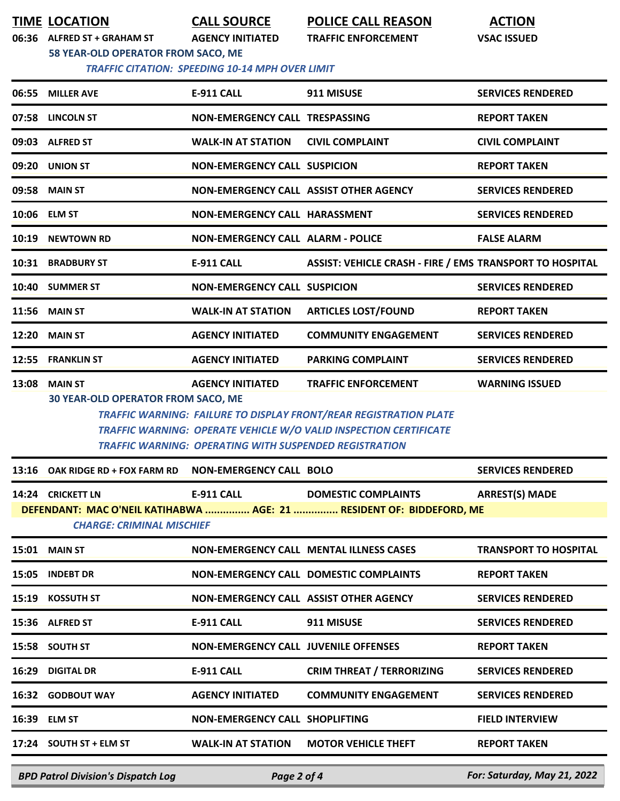**TIME LOCATION CALL SOURCE POLICE CALL REASON ACTION**

**06:36 ALFRED ST + GRAHAM ST AGENCY INITIATED TRAFFIC ENFORCEMENT VSAC ISSUED**

**58 YEAR-OLD OPERATOR FROM SACO, ME**

 *TRAFFIC CITATION: SPEEDING 10-14 MPH OVER LIMIT* 

|       | 06:55 MILLER AVE                                      | <b>E-911 CALL</b>                                             | 911 MISUSE                                                                                                                                    | <b>SERVICES RENDERED</b>     |
|-------|-------------------------------------------------------|---------------------------------------------------------------|-----------------------------------------------------------------------------------------------------------------------------------------------|------------------------------|
|       | 07:58 LINCOLN ST                                      | <b>NON-EMERGENCY CALL TRESPASSING</b>                         |                                                                                                                                               | <b>REPORT TAKEN</b>          |
|       | 09:03 ALFRED ST                                       | <b>WALK-IN AT STATION</b>                                     | <b>CIVIL COMPLAINT</b>                                                                                                                        | <b>CIVIL COMPLAINT</b>       |
| 09:20 | <b>UNION ST</b>                                       | <b>NON-EMERGENCY CALL SUSPICION</b>                           |                                                                                                                                               | <b>REPORT TAKEN</b>          |
| 09:58 | <b>MAIN ST</b>                                        |                                                               | NON-EMERGENCY CALL ASSIST OTHER AGENCY                                                                                                        | <b>SERVICES RENDERED</b>     |
|       | 10:06 ELM ST                                          | NON-EMERGENCY CALL HARASSMENT                                 |                                                                                                                                               | <b>SERVICES RENDERED</b>     |
| 10:19 | <b>NEWTOWN RD</b>                                     | <b>NON-EMERGENCY CALL ALARM - POLICE</b>                      |                                                                                                                                               | <b>FALSE ALARM</b>           |
|       | 10:31 BRADBURY ST                                     | <b>E-911 CALL</b>                                             | ASSIST: VEHICLE CRASH - FIRE / EMS TRANSPORT TO HOSPITAL                                                                                      |                              |
|       | 10:40 SUMMER ST                                       | <b>NON-EMERGENCY CALL SUSPICION</b>                           |                                                                                                                                               | <b>SERVICES RENDERED</b>     |
| 11:56 | <b>MAIN ST</b>                                        | <b>WALK-IN AT STATION</b>                                     | <b>ARTICLES LOST/FOUND</b>                                                                                                                    | <b>REPORT TAKEN</b>          |
| 12:20 | <b>MAIN ST</b>                                        | <b>AGENCY INITIATED</b>                                       | <b>COMMUNITY ENGAGEMENT</b>                                                                                                                   | <b>SERVICES RENDERED</b>     |
|       | 12:55 FRANKLIN ST                                     | <b>AGENCY INITIATED</b>                                       | <b>PARKING COMPLAINT</b>                                                                                                                      | <b>SERVICES RENDERED</b>     |
|       | <b>30 YEAR-OLD OPERATOR FROM SACO, ME</b>             | <b>TRAFFIC WARNING: OPERATING WITH SUSPENDED REGISTRATION</b> | <b>TRAFFIC WARNING: FAILURE TO DISPLAY FRONT/REAR REGISTRATION PLATE</b><br>TRAFFIC WARNING: OPERATE VEHICLE W/O VALID INSPECTION CERTIFICATE |                              |
| 13:16 | OAK RIDGE RD + FOX FARM RD NON-EMERGENCY CALL BOLO    |                                                               |                                                                                                                                               | <b>SERVICES RENDERED</b>     |
|       | 14:24 CRICKETT LN<br><b>CHARGE: CRIMINAL MISCHIEF</b> | <b>E-911 CALL</b>                                             | <b>DOMESTIC COMPLAINTS</b><br>DEFENDANT: MAC O'NEIL KATIHABWA  AGE: 21  RESIDENT OF: BIDDEFORD, ME                                            | <b>ARREST(S) MADE</b>        |
|       | 15:01 MAIN ST                                         |                                                               | NON-EMERGENCY CALL MENTAL ILLNESS CASES                                                                                                       | <b>TRANSPORT TO HOSPITAL</b> |
|       | 15:05 INDEBT DR                                       |                                                               | NON-EMERGENCY CALL DOMESTIC COMPLAINTS                                                                                                        | <b>REPORT TAKEN</b>          |
|       | 15:19 KOSSUTH ST                                      |                                                               | NON-EMERGENCY CALL ASSIST OTHER AGENCY                                                                                                        | <b>SERVICES RENDERED</b>     |
|       | 15:36 ALFRED ST                                       | <b>E-911 CALL</b>                                             | 911 MISUSE                                                                                                                                    | <b>SERVICES RENDERED</b>     |
|       | 15:58 SOUTH ST                                        | NON-EMERGENCY CALL JUVENILE OFFENSES                          |                                                                                                                                               | <b>REPORT TAKEN</b>          |
| 16:29 | <b>DIGITAL DR</b>                                     | E-911 CALL                                                    | <b>CRIM THREAT / TERRORIZING</b>                                                                                                              | <b>SERVICES RENDERED</b>     |
|       | 16:32 GODBOUT WAY                                     | <b>AGENCY INITIATED</b>                                       | <b>COMMUNITY ENGAGEMENT</b>                                                                                                                   | <b>SERVICES RENDERED</b>     |
|       | 16:39 ELM ST                                          | NON-EMERGENCY CALL SHOPLIFTING                                |                                                                                                                                               | <b>FIELD INTERVIEW</b>       |
|       | 17:24 SOUTH ST + ELM ST                               | <b>WALK-IN AT STATION</b>                                     | <b>MOTOR VEHICLE THEFT</b>                                                                                                                    | <b>REPORT TAKEN</b>          |
|       |                                                       |                                                               |                                                                                                                                               |                              |

*BPD Patrol Division's Dispatch Log Page 2 of 4 For: Saturday, May 21, 2022*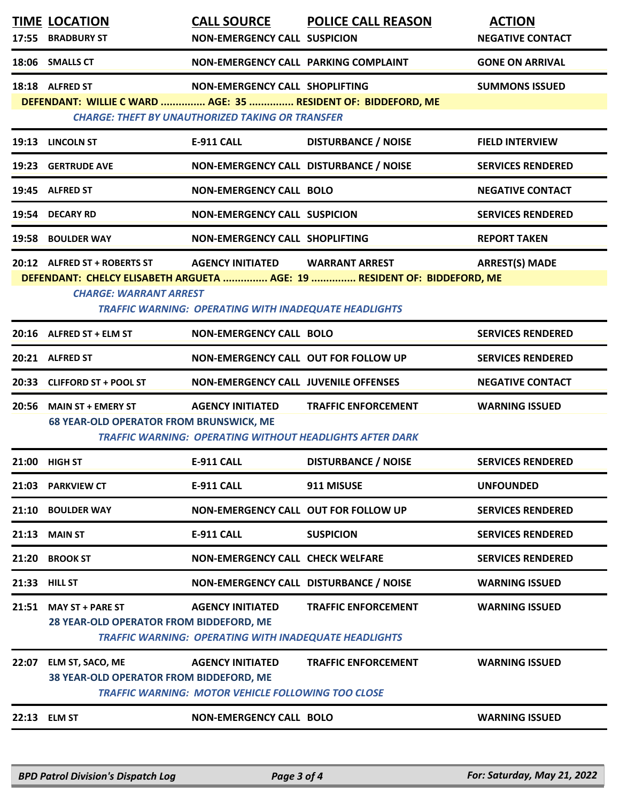|       | <b>TIME LOCATION</b><br>17:55 BRADBURY ST                                                                                                   | <b>CALL SOURCE</b><br><b>NON-EMERGENCY CALL SUSPICION</b>                               | <b>POLICE CALL REASON</b>                                                                         | <b>ACTION</b><br><b>NEGATIVE CONTACT</b> |
|-------|---------------------------------------------------------------------------------------------------------------------------------------------|-----------------------------------------------------------------------------------------|---------------------------------------------------------------------------------------------------|------------------------------------------|
|       | 18:06 SMALLS CT                                                                                                                             | NON-EMERGENCY CALL PARKING COMPLAINT                                                    |                                                                                                   | <b>GONE ON ARRIVAL</b>                   |
|       | 18:18 ALFRED ST<br>DEFENDANT: WILLIE C WARD  AGE: 35  RESIDENT OF: BIDDEFORD, ME<br><b>CHARGE: THEFT BY UNAUTHORIZED TAKING OR TRANSFER</b> | NON-EMERGENCY CALL SHOPLIFTING                                                          |                                                                                                   | <b>SUMMONS ISSUED</b>                    |
|       | 19:13 LINCOLN ST                                                                                                                            | E-911 CALL                                                                              | <b>DISTURBANCE / NOISE</b>                                                                        | <b>FIELD INTERVIEW</b>                   |
|       | 19:23 GERTRUDE AVE                                                                                                                          | NON-EMERGENCY CALL DISTURBANCE / NOISE                                                  |                                                                                                   | <b>SERVICES RENDERED</b>                 |
|       | 19:45 ALFRED ST                                                                                                                             | <b>NON-EMERGENCY CALL BOLO</b>                                                          |                                                                                                   | <b>NEGATIVE CONTACT</b>                  |
|       | 19:54 DECARY RD                                                                                                                             | <b>NON-EMERGENCY CALL SUSPICION</b>                                                     |                                                                                                   | <b>SERVICES RENDERED</b>                 |
|       | 19:58 BOULDER WAY                                                                                                                           | NON-EMERGENCY CALL SHOPLIFTING                                                          |                                                                                                   | <b>REPORT TAKEN</b>                      |
|       | 20:12 ALFRED ST + ROBERTS ST<br><b>CHARGE: WARRANT ARREST</b>                                                                               | <b>AGENCY INITIATED</b><br>TRAFFIC WARNING: OPERATING WITH INADEQUATE HEADLIGHTS        | <b>WARRANT ARREST</b><br>DEFENDANT: CHELCY ELISABETH ARGUETA  AGE: 19  RESIDENT OF: BIDDEFORD, ME | <b>ARREST(S) MADE</b>                    |
|       | 20:16 ALFRED ST + ELM ST                                                                                                                    | <b>NON-EMERGENCY CALL BOLO</b>                                                          |                                                                                                   | <b>SERVICES RENDERED</b>                 |
|       | 20:21 ALFRED ST                                                                                                                             | NON-EMERGENCY CALL OUT FOR FOLLOW UP                                                    |                                                                                                   | <b>SERVICES RENDERED</b>                 |
|       | 20:33 CLIFFORD ST + POOL ST                                                                                                                 | <b>NON-EMERGENCY CALL JUVENILE OFFENSES</b>                                             |                                                                                                   | <b>NEGATIVE CONTACT</b>                  |
|       | 20:56 MAIN ST + EMERY ST<br><b>68 YEAR-OLD OPERATOR FROM BRUNSWICK, ME</b>                                                                  | <b>AGENCY INITIATED</b>                                                                 | <b>TRAFFIC ENFORCEMENT</b><br><b>TRAFFIC WARNING: OPERATING WITHOUT HEADLIGHTS AFTER DARK</b>     | <b>WARNING ISSUED</b>                    |
|       | 21:00 HIGH ST                                                                                                                               | <b>E-911 CALL</b>                                                                       | <b>DISTURBANCE / NOISE</b>                                                                        | <b>SERVICES RENDERED</b>                 |
|       | 21:03 PARKVIEW CT                                                                                                                           | E-911 CALL                                                                              | 911 MISUSE                                                                                        | <b>UNFOUNDED</b>                         |
|       | 21:10 BOULDER WAY                                                                                                                           | NON-EMERGENCY CALL OUT FOR FOLLOW UP                                                    |                                                                                                   | <b>SERVICES RENDERED</b>                 |
| 21:13 | <b>MAIN ST</b>                                                                                                                              | E-911 CALL                                                                              | <b>SUSPICION</b>                                                                                  | <b>SERVICES RENDERED</b>                 |
| 21:20 | <b>BROOK ST</b>                                                                                                                             | NON-EMERGENCY CALL CHECK WELFARE                                                        |                                                                                                   | <b>SERVICES RENDERED</b>                 |
|       | 21:33 HILL ST                                                                                                                               | NON-EMERGENCY CALL DISTURBANCE / NOISE                                                  |                                                                                                   | <b>WARNING ISSUED</b>                    |
|       | 21:51 MAY ST + PARE ST<br>28 YEAR-OLD OPERATOR FROM BIDDEFORD, ME                                                                           | <b>AGENCY INITIATED</b><br><b>TRAFFIC WARNING: OPERATING WITH INADEQUATE HEADLIGHTS</b> | <b>TRAFFIC ENFORCEMENT</b>                                                                        | <b>WARNING ISSUED</b>                    |
| 22:07 | <b>ELM ST, SACO, ME</b><br>38 YEAR-OLD OPERATOR FROM BIDDEFORD, ME                                                                          | <b>AGENCY INITIATED</b><br><b>TRAFFIC WARNING: MOTOR VEHICLE FOLLOWING TOO CLOSE</b>    | <b>TRAFFIC ENFORCEMENT</b>                                                                        | <b>WARNING ISSUED</b>                    |
|       | 22:13 ELM ST                                                                                                                                | <b>NON-EMERGENCY CALL BOLO</b>                                                          |                                                                                                   | <b>WARNING ISSUED</b>                    |
|       |                                                                                                                                             |                                                                                         |                                                                                                   |                                          |